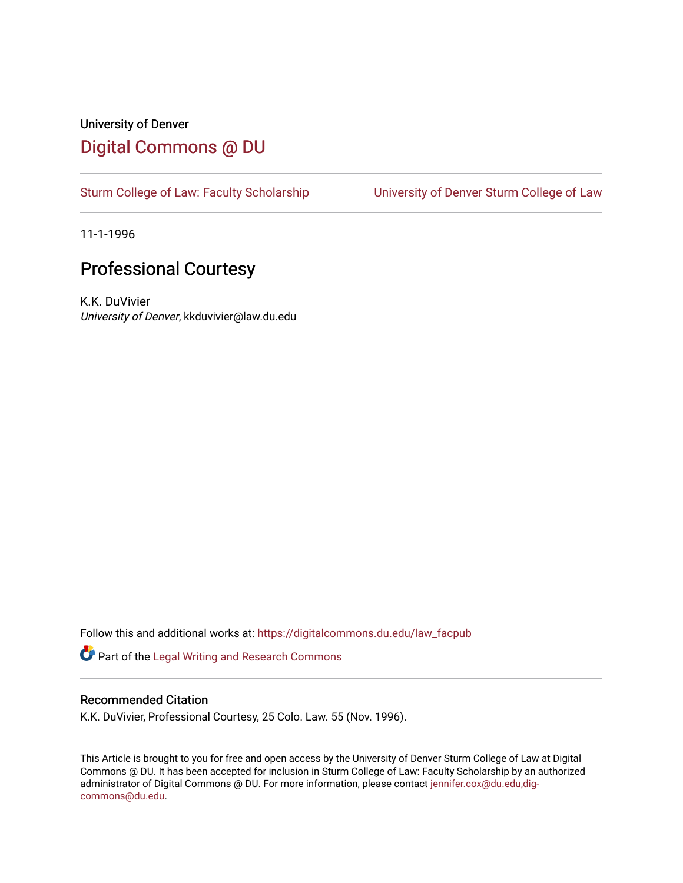### University of Denver [Digital Commons @ DU](https://digitalcommons.du.edu/)

[Sturm College of Law: Faculty Scholarship](https://digitalcommons.du.edu/law_facpub) [University of Denver Sturm College of Law](https://digitalcommons.du.edu/denver_law) 

11-1-1996

## Professional Courtesy

K.K. DuVivier University of Denver, kkduvivier@law.du.edu

Follow this and additional works at: [https://digitalcommons.du.edu/law\\_facpub](https://digitalcommons.du.edu/law_facpub?utm_source=digitalcommons.du.edu%2Flaw_facpub%2F366&utm_medium=PDF&utm_campaign=PDFCoverPages) 

Part of the [Legal Writing and Research Commons](http://network.bepress.com/hgg/discipline/614?utm_source=digitalcommons.du.edu%2Flaw_facpub%2F366&utm_medium=PDF&utm_campaign=PDFCoverPages) 

#### Recommended Citation

K.K. DuVivier, Professional Courtesy, 25 Colo. Law. 55 (Nov. 1996).

This Article is brought to you for free and open access by the University of Denver Sturm College of Law at Digital Commons @ DU. It has been accepted for inclusion in Sturm College of Law: Faculty Scholarship by an authorized administrator of Digital Commons @ DU. For more information, please contact [jennifer.cox@du.edu,dig](mailto:jennifer.cox@du.edu,dig-commons@du.edu)[commons@du.edu.](mailto:jennifer.cox@du.edu,dig-commons@du.edu)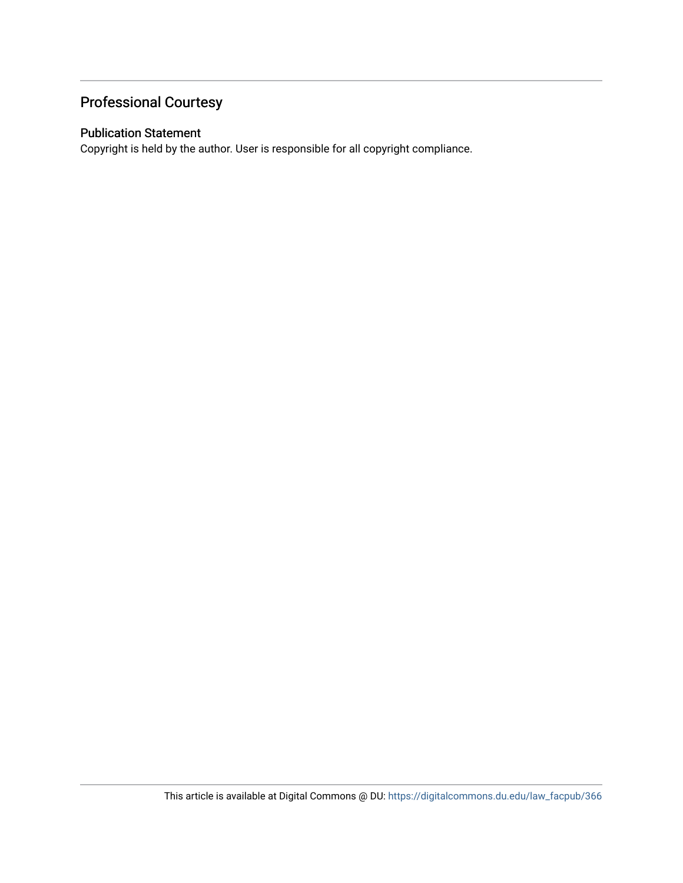## Professional Courtesy

#### Publication Statement

Copyright is held by the author. User is responsible for all copyright compliance.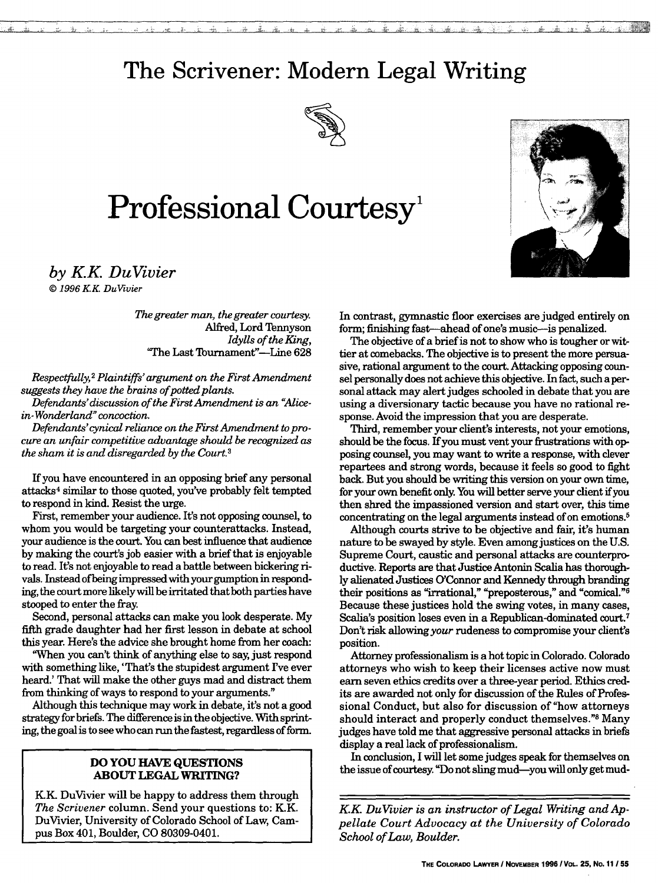## **The Scrivener: Modern Legal Writing**



# Professional Courtesy<sup>1</sup>



*by KK DuVivier I*

*© 1996 KK DuVivier*

*The greater man, the greater courtesy.* Alfred, Lord Tennyson *Idylls of the King,* 'The Last Tournament"-Line 628

*Respectfully,2 Plaintiffs' argument on the First Amendment* suggests they have the brains of potted plants.

*Defendants'discussion of the First Amendment is an "Alicein-Wonderland" concoction.*

Defendants' cynical reliance on the First Amendment to pro*cure an unfair competitive advantage should be recognized as the sham it is and disregarded by the Court.3*

If you have encountered in an opposing brief any personal attacks 4 similar to those quoted, you've probably felt tempted to respond in kind. Resist the urge.

First, remember your audience. It's not opposing counsel, to whom you would be targeting your counterattacks. Instead, your audience is the court. You can best influence that audience by making the court's job easier with a brief that is enjoyable to read. It's not enjoyable to read a battle between bickering rivals. Instead of being impressed with your gumption in responding, the court more likely will be irritated that both parties have stooped to enter the fray.

Second, personal attacks can make you look desperate. My fifth grade daughter had her first lesson in debate at school this year. Here's the advice she brought home from her coach:

"When you can't think of anything else to say, just respond with something like, 'That's the stupidest argument Ive ever heard.' That will make the other guys mad and distract them from thinking of ways to respond to your arguments."

Although this technique may work in debate, it's not a good strategy for briefs. The difference is in the objective. With sprinting, the goal is to see who can run the fastest, regardless of form.

#### **DO YOU HAVE QUESTIONS ABOUT LEGAL WRITING?**

KK. DuVivier will be happy to address them through *The Scrivener* column. Send your questions to: K.K. DuVivier, University of Colorado School of Law, Campus Box 401, Boulder, CO 80309-0401.

In contrast, gymnastic floor exercises are judged entirely on form; finishing fast-ahead of one's music-is penalized.

The objective of a brief is not to show who is tougher or wittier at comebacks. The objective is to present the more persuasive, rational argument to the court. Attacking opposing counsel personally does not achieve this objective. In fact, such a personal attack may alert judges schooled in debate that you are using a diversionary tactic because you have no rational response. Avoid the impression that you are desperate.

Third, remember your client's interests, not your emotions, should be the focus. If you must vent your frustrations with opposing counsel, you may want to write a response, with clever repartees and strong words, because it feels so good to fight back. But you should be writing this version on your own time, for your own benefit only. You will better serve your client if you then shred the impassioned version and start over, this time concentrating on the legal arguments instead of on emotions.5

Although courts strive to be objective and fair, it's human nature to be swayed by style. Even amongjustices on the U.S. Supreme Court, caustic and personal attacks are counterproductive. Reports are that Justice Antonin Scalia has thoroughly alienated Justices O'Connor and Kennedy through branding their positions as "irrational," "preposterous," and "comical."<sup>6</sup> Because these justices hold the swing votes, in many cases, Scalia's position loses even in a Republican-dominated court.7 Don't risk allowing *your* rudeness to compromise your client's position.

Attorney professionalism is a hot topic in Colorado. Colorado attorneys who wish to keep their licenses active now must earn seven ethics credits over a three-year period. Ethics credits are awarded not only for discussion of the Rules of Professional Conduct, but also for discussion of "how attorneys should interact and properly conduct themselves."8 Many judges have told me that aggressive personal attacks in briefs display a real lack of professionalism.

In conclusion, I will let some judges speak for themselves on the issue of courtesy. "Do not sling mud-you will only get mud-

*KK DuVivier is an instructor of Legal Writing and Appellate Court Advocacy at the University of Colorado School of Law, Boulder.*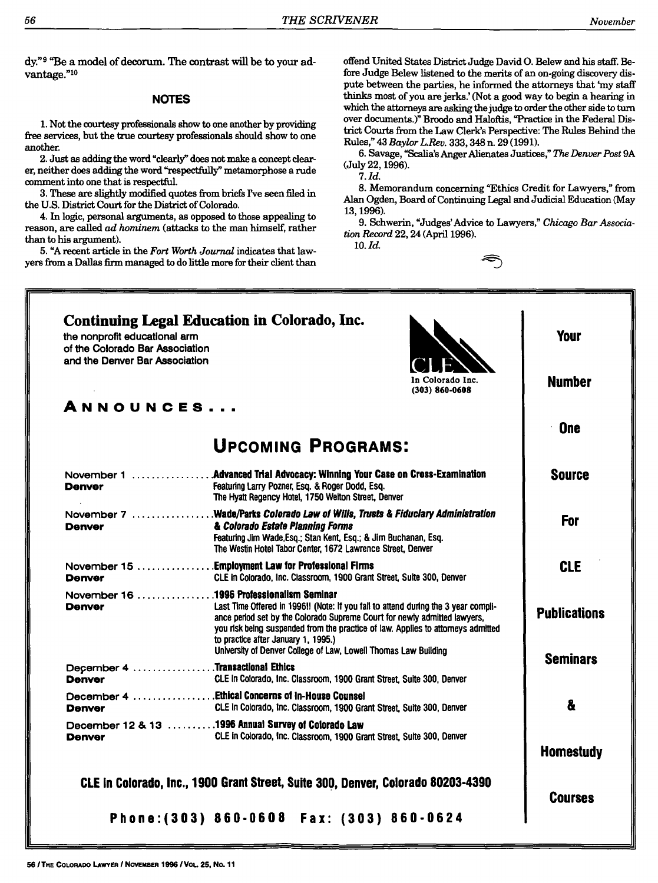dy."9 "Be a model of decorum. The contrast will be to your advantage."10

#### **NOTES**

**1.** Not the courtesy professionals show to one another by providing free services, but the true courtesy professionals should show to one another.

2. Just as adding the word "clearly" does not make a concept clearer, neither does adding the word "respectfully" metamorphose a rude comment into one that is respectful.

**3.** These are slightly modified quotes **from** briefs **rve** seen filed **in** the U.S. District Court for the District of Colorado.

4. In logic, personal arguments, as opposed to those appealing to reason, are called *ad hominem* (attacks to the man himself, rather than to his argument).

**5. "A** recent article in the *Fort Worth Journal* indicates that lawyers from a Dallas **firm** managed to do little more for their client than offend United States District Judge David **0.** Belew and his staff. Before Judge Belew listened to the merits of an on-going discovery dispute between the parties, he informed the attorneys that 'my staff thinks most of you are jerks.' (Not a good way to begin a hearing in which the attorneys are asking the judge to order the other side to turn over documents.)" Broodo and Haloftis, "Practice in the Federal District Courts from the Law Clerk's Perspective: The Rules Behind the Rules," 43 *BaylorL.Rev.* 333,348 n. 29 (1991).

6. Savage, "Scalia's Anger Alienates Justices," *The Denver Post* 9A (July 22, 1996).

**7.** *Id.*

8. Memorandum concerning "Ethics Credit for Lawyers," from Alan Ogden, Board of Continuing Legal and Judicial Education (May 13, 1996).

9. Schwerin, "Judges'Advice to Lawyers," *Chicago Bar Association Record* 22, 24 (April 1996).

10. *Id.*

| and the Denver Bar Association | In Colorado Inc.<br>$(303) 860 - 0608$                                                                                                                                                                                                                                                                                                                                                                    | <b>Number</b>       |
|--------------------------------|-----------------------------------------------------------------------------------------------------------------------------------------------------------------------------------------------------------------------------------------------------------------------------------------------------------------------------------------------------------------------------------------------------------|---------------------|
| ANNOUNCES                      | <b>UPCOMING PROGRAMS:</b>                                                                                                                                                                                                                                                                                                                                                                                 | <b>One</b>          |
| November 1<br>Denver           | .Advanced Trial Advocacy: Winning Your Case on Cross-Examination<br>Featuring Larry Pozner, Esq. & Roger Dodd, Esq.<br>The Hyatt Regency Hotel, 1750 Welton Street, Denver                                                                                                                                                                                                                                | <b>Source</b>       |
| <b>Denver</b>                  | November 7 Wade/Parks Colorado Law of Wills, Trusts & Fiduciary Administration<br>& Colorado Estate Planning Forms<br>Featuring Jim Wade, Esq.; Stan Kent, Esq.; & Jim Buchanan, Esq.<br>The Westin Hotel Tabor Center, 1672 Lawrence Street, Denver                                                                                                                                                      | <b>For</b>          |
| <b>Denver</b>                  | November 15 Employment Law for Professional Firms<br>CLE in Colorado, Inc. Classroom, 1900 Grant Street, Suite 300, Denver                                                                                                                                                                                                                                                                                | <b>CLE</b>          |
| <b>Denver</b>                  | November 16 1996 Professionalism Seminar<br>Last Time Offered in 1996!! (Note: If you fail to attend during the 3 year compli-<br>ance period set by the Colorado Supreme Court for newly admitted lawyers,<br>you risk being suspended from the practice of law. Applies to attorneys admitted<br>to practice after January 1, 1995.)<br>University of Denver College of Law, Lowell Thomas Law Building | <b>Publications</b> |
| <b>Denver</b>                  | December 4 Transactional Ethics<br>CLE in Colorado, Inc. Classroom, 1900 Grant Street, Suite 300, Denver                                                                                                                                                                                                                                                                                                  | <b>Seminars</b>     |
| <b>Denver</b>                  | December 4 Ethical Concerns of In-House Counsel<br>CLE in Colorado, Inc. Classroom, 1900 Grant Street, Suite 300, Denver                                                                                                                                                                                                                                                                                  | 8                   |
| <b>Denver</b>                  | December 12 & 13 1996 Annual Survey of Colorado Law<br>CLE in Colorado, Inc. Classroom, 1900 Grant Street, Suite 300, Denver                                                                                                                                                                                                                                                                              | <b>Homestudy</b>    |
|                                | CLE in Colorado, Inc., 1900 Grant Street, Suite 300, Denver, Colorado 80203-4390                                                                                                                                                                                                                                                                                                                          |                     |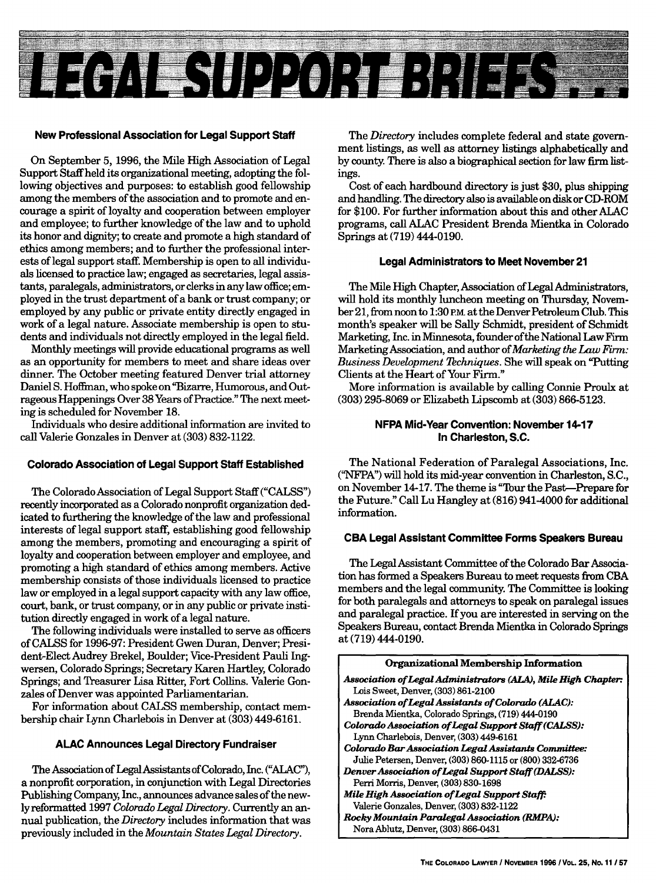

#### **New Professional Association for Legal Support Staff**

On September 5, 1996, the Mile High Association of Legal Support Staff held its organizational meeting, adopting the following objectives and purposes: to establish good fellowship among the members of the association and to promote and encourage a spirit of loyalty and cooperation between employer and employee; to further knowledge of the law and to uphold its honor and dignity; to create and promote a high standard of ethics among members; and to further the professional interests of legal support staff. Membership is open to all individuals licensed to practice law; engaged as secretaries, legal assistants, paralegals, administrators, or clerks in any law office; employed in the trust department of a bank or trust company; or employed by any public or private entity directly engaged in work of a legal nature. Associate membership is open to students and individuals not directly employed in the legal field.

Monthly meetings will provide educational programs as well as an opportunity for members to meet and share ideas over dinner. The October meeting featured Denver trial attorney Daniel S. Hoffman, who spoke on"Bizarre, Humorous, and Outrageous Happenings Over 38 Years of Practice." The next meeting is scheduled for November 18.

Individuals who desire additional information are invited to call Valerie Gonzales in Denver at (303) 832-1122.

#### **Colorado Association of Legal Support Staff Established**

The Colorado Association of Legal Support Staff ("CALSS") recently incorporated as a Colorado nonprofit organization dedicated to furthering the knowledge of the law and professional interests of legal support staff, establishing good fellowship among the members, promoting and encouraging a spirit of loyalty and cooperation between employer and employee, and promoting a high standard of ethics among members. Active membership consists of those individuals licensed to practice law or employed in a legal support capacity with any law office, court, bank, or trust company, or in any public or private institution directly engaged in work of a legal nature.

The following individuals were installed to serve as officers of CALSS for 1996-97: President Gwen Duran, Denver; President-Elect Audrey Brekel, Boulder; Vice-President Pauli Ingwersen, Colorado Springs; Secretary Karen Hartley, Colorado Springs; and Treasurer Lisa Ritter, Fort Collins. Valerie Gonzales of Denver was appointed Parliamentarian.

For information about CALSS membership, contact membership chair Lynn Charlebois in Denver at (303) 449-6161.

#### **ALAC Announces Legal Directory Fundraiser**

The Association of Legal Assistants of Colorado, Inc. ("ALAC"), a nonprofit corporation, in conjunction with Legal Directories Publishing Company, Inc., announces advance sales of the newly reformatted **1997** *Colorado Legal Directory.* Currently an annual publication, the *Directory* includes information that was previously included in the *Mountain States Legal Directory.*

The *Directory* includes complete federal and state government listings, as well as attorney listings alphabetically and by county. There is also a biographical section for law firm listings.

Cost of each hardbound directory is just \$30, plus shipping and handling. The directory also is available on disk or CD-ROM for \$100. For further information about this and other ALAC programs, call ALAC President Brenda Mientka in Colorado Springs at (719) 444-0190.

#### **Legal Administrators to Meet November 21**

The Mile High Chapter, Association of Legal Administrators, will hold its monthly luncheon meeting on Thursday, November 21, from noon to 1:30 **P.m** at the Denver Petroleum Club. This month's speaker will be Sally Schmidt, president of Schmidt Marketing, Inc. in Minnesota, founder ofthe National Law Firm Marketing Association, and author of *Marketing the Law* Firm: *Business Development Tchniques.* She will speak on "Putting Clients at the Heart of Your Firm."

More information is available by calling Connie Proulx at (303) 295-8069 or Elizabeth Lipscomb at (303) 866-5123.

#### **NFPA Mid-Year Convention: November 14-17 In Charleston, S.C.**

The National Federation of Paralegal Associations, Inc. ("NFPA") will hold its mid-year convention in Charleston, S.C., on November 14-17. The theme is "Tour the Past-Prepare for the Future." Call Lu Hangley at (816) 941-4000 for additional information.

#### **CBA Legal Assistant Committee Forms Speakers Bureau**

The Legal Assistant Committee of the Colorado Bar Association has formed a Speakers Bureau to meet requests from CBA members and the legal community. The Committee is looking for both paralegals and attorneys to speak on paralegal issues and paralegal practice. If you are interested in serving on the Speakers Bureau, contact Brenda Mientka in Colorado Springs at (719) 444-0190.

| Organizational Membership Information                         |  |  |  |  |  |
|---------------------------------------------------------------|--|--|--|--|--|
| Association of Legal Administrators (ALA), Mile High Chapter: |  |  |  |  |  |
| Lois Sweet, Denver, (303) 861-2100                            |  |  |  |  |  |
| Association of Legal Assistants of Colorado (ALAC):           |  |  |  |  |  |
| Brenda Mientka, Colorado Springs, (719) 444-0190              |  |  |  |  |  |
| Colorado Association of Legal Support Staff (CALSS):          |  |  |  |  |  |
| Lynn Charlebois, Denver, (303) 449-6161                       |  |  |  |  |  |
| Colorado Bar Association Legal Assistants Committee:          |  |  |  |  |  |
| Julie Petersen, Denver, (303) 860-1115 or (800) 332-6736      |  |  |  |  |  |
| Denver Association of Legal Support Staff (DALSS):            |  |  |  |  |  |
| Perri Morris, Denver, (303) 830-1698                          |  |  |  |  |  |
| Mile High Association of Legal Support Staff:                 |  |  |  |  |  |
| Valerie Gonzales, Denver, (303) 832-1122                      |  |  |  |  |  |
| <b>Rocky Mountain Paralegal Association (RMPA):</b>           |  |  |  |  |  |
| Nora Ablutz, Denver, (303) 866-0431                           |  |  |  |  |  |